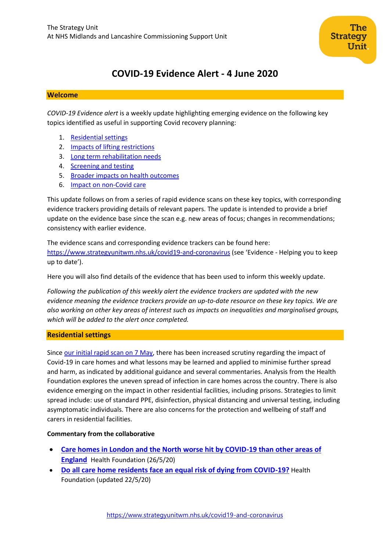# **COVID-19 Evidence Alert - 4 June 2020**

# **Welcome**

*COVID-19 Evidence alert* is a weekly update highlighting emerging evidence on the following key topics identified as useful in supporting Covid recovery planning:

- 1. [Residential settings](#page-0-0)
- 2. [Impacts of lifting restrictions](#page-2-0)
- 3. [Long term rehabilitation needs](#page-6-0)
- 4. [Screening and testing](#page-9-0)
- 5. [Broader impacts on health outcomes](#page-11-0)
- 6. Impact on non-Covid care

This update follows on from a series of rapid evidence scans on these key topics, with corresponding evidence trackers providing details of relevant papers. The update is intended to provide a brief update on the evidence base since the scan e.g. new areas of focus; changes in recommendations; consistency with earlier evidence.

The evidence scans and corresponding evidence trackers can be found here: <https://www.strategyunitwm.nhs.uk/covid19-and-coronavirus> (see 'Evidence - Helping you to keep up to date').

Here you will also find details of the evidence that has been used to inform this weekly update.

*Following the publication of this weekly alert the evidence trackers are updated with the new evidence meaning the evidence trackers provide an up-to-date resource on these key topics. We are also working on other key areas of interest such as impacts on inequalities and marginalised groups, which will be added to the alert once completed.*

# <span id="page-0-0"></span>**Residential settings**

Since [our initial rapid scan on 7 May,](https://www.strategyunitwm.nhs.uk/sites/default/files/2020-05/20200507%20Evidence%20rapid%20scan%201%20-%20Care%20Homes.pdf) there has been increased scrutiny regarding the impact of Covid-19 in care homes and what lessons may be learned and applied to minimise further spread and harm, as indicated by additional guidance and several commentaries. Analysis from the Health Foundation explores the uneven spread of infection in care homes across the country. There is also evidence emerging on the impact in other residential facilities, including prisons. Strategies to limit spread include: use of standard PPE, disinfection, physical distancing and universal testing, including asymptomatic individuals. There are also concerns for the protection and wellbeing of staff and carers in residential facilities.

# **Commentary from the collaborative**

- **[Care homes in London and the North worse hit by COVID-19 than other areas of](https://www.health.org.uk/news-and-comment/news/care-homes-in-london-and-the-north-worse-hit-by-covid-19)  [England](https://www.health.org.uk/news-and-comment/news/care-homes-in-london-and-the-north-worse-hit-by-covid-19)** Health Foundation (26/5/20)
- **[Do all care home residents face an equal risk of dying from COVID-19?](https://www.health.org.uk/news-and-comment/charts-and-infographics/do-all-care-home-residents-face-an-equal-risk-covid-19)** Health Foundation (updated 22/5/20)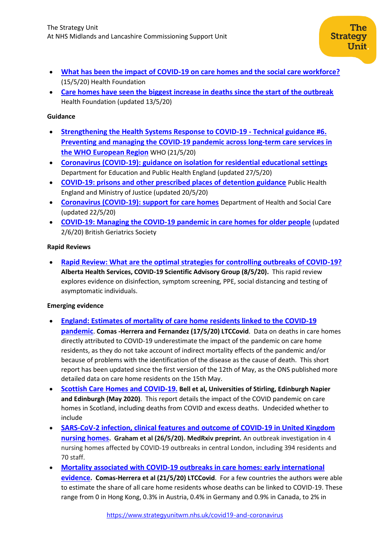- **[What has been the impact of COVID-19 on care homes and the social care workforce?](https://www.health.org.uk/news-and-comment/charts-and-infographics/what-has-been-the-impact-of-covid-19-on-care-homes-and-social-care-workforce)** (15/5/20) Health Foundation
- **[Care homes have seen the biggest increase in deaths since the start of the outbreak](https://www.health.org.uk/news-and-comment/charts-and-infographics/deaths-from-any-cause-in-care-homes-have-increased)** Health Foundation (updated 13/5/20)

## **Guidance**

- **[Strengthening the Health Systems Response to COVID-19 -](http://www.euro.who.int/en/health-topics/health-emergencies/coronavirus-covid-19/technical-guidance/strengthening-the-health-system-response-to-covid-19/technical-guidance-and-check-lists/strengthening-the-health-systems-response-to-covid-19-technical-guidance-6,-21-may-2020) Technical guidance #6. [Preventing and managing the COVID-19 pandemic across long-term care services in](http://www.euro.who.int/en/health-topics/health-emergencies/coronavirus-covid-19/technical-guidance/strengthening-the-health-system-response-to-covid-19/technical-guidance-and-check-lists/strengthening-the-health-systems-response-to-covid-19-technical-guidance-6,-21-may-2020)  [the WHO European Region](http://www.euro.who.int/en/health-topics/health-emergencies/coronavirus-covid-19/technical-guidance/strengthening-the-health-system-response-to-covid-19/technical-guidance-and-check-lists/strengthening-the-health-systems-response-to-covid-19-technical-guidance-6,-21-may-2020)** WHO (21/5/20)
- **[Coronavirus \(COVID-19\): guidance on isolation for residential educational settings](https://www.gov.uk/government/publications/coronavirus-covid-19-guidance-on-isolation-for-residential-educational-settings)** Department for Education and Public Health England (updated 27/5/20)
- **[COVID-19: prisons and other prescribed places of detention guidance](https://www.gov.uk/government/publications/covid-19-prisons-and-other-prescribed-places-of-detention-guidance)** Public Health England and Ministry of Justice (updated 20/5/20)
- **[Coronavirus \(COVID-19\): support for care homes](https://www.gov.uk/government/publications/coronavirus-covid-19-support-for-care-homes)** Department of Health and Social Care (updated 22/5/20)
- **[COVID-19: Managing the COVID-19 pandemic in care homes for older people](https://www.bgs.org.uk/resources/covid-19-managing-the-covid-19-pandemic-in-care-homes)** (updated 2/6/20) British Geriatrics Society

# **Rapid Reviews**

• **[Rapid Review: What are the optimal strategies for controlling outbreaks of COVID-19?](https://www.nccmt.ca/knowledge-repositories/covid-19-evidence-reviews/61) Alberta Health Services, COVID-19 Scientific Advisory Group (8/5/20).** This rapid review explores evidence on disinfection, symptom screening, PPE, social distancing and testing of asymptomatic individuals.

## **Emerging evidence**

- **[England: Estimates of mortality of care home residents linked to the COVID-19](https://ltccovid.org/wp-content/uploads/2020/05/England-mortality-among-care-home-residents-report-17-May.pdf)  [pandemic](https://ltccovid.org/wp-content/uploads/2020/05/England-mortality-among-care-home-residents-report-17-May.pdf)**. **Comas -Herrera and Fernandez (17/5/20) LTCCovid**. Data on deaths in care homes directly attributed to COVID-19 underestimate the impact of the pandemic on care home residents, as they do not take account of indirect mortality effects of the pandemic and/or because of problems with the identification of the disease as the cause of death. This short report has been updated since the first version of the 12th of May, as the ONS published more detailed data on care home residents on the 15th May.
- **[Scottish Care Homes and COVID-19.](https://dspace.stir.ac.uk/retrieve/018ff716-5702-4648-8cb8-ca1dadaa9fb4/Scotland_CH_2020.pdf) Bell et al, Universities of Stirling, Edinburgh Napier and Edinburgh (May 2020)**. This report details the impact of the COVID pandemic on care homes in Scotland, including deaths from COVID and excess deaths. Undecided whether to include
- **SARS-CoV-2 infection, clinical features [and outcome of COVID-19 in United Kingdom](https://www.medrxiv.org/content/10.1101/2020.05.19.20105460v1)  [nursing homes](https://www.medrxiv.org/content/10.1101/2020.05.19.20105460v1). Graham et al (26/5/20). MedRxiv preprint.** An outbreak investigation in 4 nursing homes affected by COVID-19 outbreaks in central London, including 394 residents and 70 staff.
- **[Mortality associated with COVID-19 outbreaks in care homes: early international](https://ltccovid.org/wp-content/uploads/2020/05/Mortality-associated-with-COVID-21-May-7.pdf)  [evidence](https://ltccovid.org/wp-content/uploads/2020/05/Mortality-associated-with-COVID-21-May-7.pdf). Comas-Herrera et al (21/5/20) LTCCovid**. For a few countries the authors were able to estimate the share of all care home residents whose deaths can be linked to COVID-19. These range from 0 in Hong Kong, 0.3% in Austria, 0.4% in Germany and 0.9% in Canada, to 2% in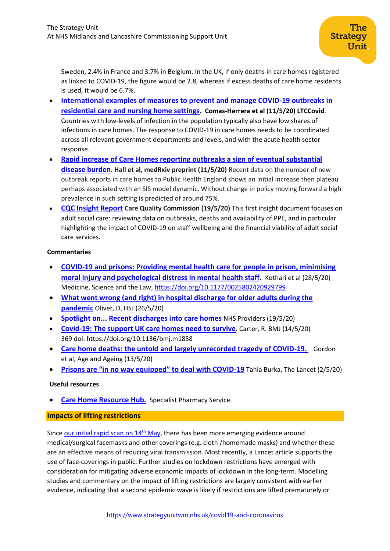Sweden, 2.4% in France and 3.7% in Belgium. In the UK, if only deaths in care homes registered as linked to COVID-19, the figure would be 2.8, whereas if excess deaths of care home residents is used, it would be 6.7%.

- **[International examples of measures to prevent and manage COVID-19 outbreaks in](https://ltccovid.org/wp-content/uploads/2020/05/International-measures-to-prevent-and-manage-COVID19-infections-in-care-homes-11-May-2.pdf)  [residential care and nursing home settings.](https://ltccovid.org/wp-content/uploads/2020/05/International-measures-to-prevent-and-manage-COVID19-infections-in-care-homes-11-May-2.pdf) Comas-Herrera et al (11/5/20) LTCCovid**. Countries with low-levels of infection in the population typically also have low shares of infections in care homes. The response to COVID-19 in care homes needs to be coordinated across all relevant government departments and levels, and with the acute health sector response.
- **[Rapid increase of Care Homes reporting outbreaks a sign of eventual substantial](https://www.medrxiv.org/content/10.1101/2020.05.07.20089243v1)  [disease burden](https://www.medrxiv.org/content/10.1101/2020.05.07.20089243v1). Hall et al, medRxiv preprint (11/5/20)** Recent data on the number of new outbreak reports in care homes to Public Health England shows an initial increase then plateau perhaps associated with an SIS model dynamic. Without change in policy moving forward a high prevalence in such setting is predicted of around 75%.
- **[CQC Insight Report](https://www.cqc.org.uk/news/stories/sharing-insight-asking-questions-encouraging-collaboration-cqc-publishes-first-insight-document-on-covid-19-pressures) Care Quality Commission (19/5/20)** This first insight document focuses on adult social care: reviewing data on outbreaks, deaths and availability of PPE, and in particular highlighting the impact of COVID-19 on staff wellbeing and the financial viability of adult social care services.

# **Commentaries**

- **[COVID-19 and prisons: Providing mental health care for people in prison, minimising](https://journals.sagepub.com/doi/10.1177/0025802420929799)  [moral injury and psychological distress in mental health staff.](https://journals.sagepub.com/doi/10.1177/0025802420929799)** Kothari et al (28/5/20) Medicine, Science and the Law,<https://doi.org/10.1177/0025802420929799>
- **[What went wrong \(and right\) in hospital discharge for older adults during the](https://www.hsj.co.uk/frail-older-people/what-went-wrong-and-right-in-hospital-discharge-for-older-adults-during-the-pandemic/7027710.article)  [pandemic](https://www.hsj.co.uk/frail-older-people/what-went-wrong-and-right-in-hospital-discharge-for-older-adults-during-the-pandemic/7027710.article)** Oliver, D, HSJ (26/5/20)
- **Spotlight on... Recent [discharges into care homes](https://nhsproviders.org/media/689548/spotlight-on-recent-discharges-into-care-homes-nhs-providers.pdf)** NHS Providers (19/5/20)
- **[Covid-19: The support UK care homes need to survive](https://www.bmj.com/content/369/bmj.m1858)**. Carter, R. BMJ (14/5/20) 369 doi: https://doi.org/10.1136/bmj.m1858
- **[Care home deaths: the untold and largely unrecorded tragedy of COVID-19.](https://academic.oup.com/ageing/advance-article/doi/10.1093/ageing/afaa113/5836695)** Gordon et al, Age and Ageing (13/5/20)
- **[Prisons are "in no way equipped" to deal with COVID](https://www.thelancet.com/journals/lancet/article/PIIS0140-6736%2820%2930984-3/fulltext)-19** Tahla Burka, The Lancet (2/5/20)

# **Useful resources**

**[Care Home Resource Hub.](https://www.sps.nhs.uk/home/services/care-home-resource-hub/)** Specialist Pharmacy Service.

# <span id="page-2-0"></span>**Impacts of lifting restrictions**

Since [our initial rapid scan on](https://www.strategyunitwm.nhs.uk/sites/default/files/2020-05/20200514%20Evidence%20rapid%20scan%203%20-%20Lifting%20Restrictions.pdf)  $14<sup>th</sup>$  May, there has been more emerging evidence around medical/surgical facemasks and other coverings (e.g. cloth /homemade masks) and whether these are an effective means of reducing viral transmission. Most recently, a Lancet article supports the use of face-coverings in public. Further studies on lockdown restrictions have emerged with consideration for mitigating adverse economic impacts of lockdown in the long-term. Modelling studies and commentary on the impact of lifting restrictions are largely consistent with earlier evidence, indicating that a second epidemic wave is likely if restrictions are lifted prematurely or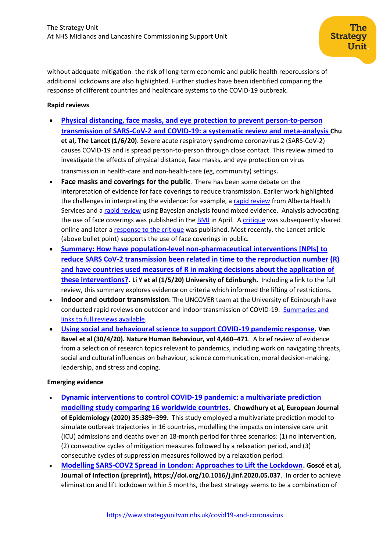without adequate mitigation- the risk of long-term economic and public health repercussions of additional lockdowns are also highlighted. Further studies have been identified comparing the response of different countries and healthcare systems to the COVID-19 outbreak.

# **Rapid reviews**

- **Physical distancing, face masks, and eye [protection to prevent person-to-person](https://www.thelancet.com/journals/lancet/article/PIIS0140-6736(20)31142-9/fulltext?utm_campaign=tlcoronavirus20&utm_content=130650663&utm_medium=social&utm_source=twitter&hss_channel=tw-27013292)  [transmission of SARS-CoV-2 and COVID-19: a systematic review and meta-analysis](https://www.thelancet.com/journals/lancet/article/PIIS0140-6736(20)31142-9/fulltext?utm_campaign=tlcoronavirus20&utm_content=130650663&utm_medium=social&utm_source=twitter&hss_channel=tw-27013292) Chu et al, The Lancet (1/6/20)**. Severe acute respiratory syndrome coronavirus 2 (SARS-CoV-2) causes COVID-19 and is spread person-to-person through close contact. This review aimed to investigate the effects of physical distance, face masks, and eye protection on virus transmission in health-care and non-health-care (eg, community) settings.
- **Face masks and coverings for the public**. There has been some debate on the interpretation of evidence for face coverings to reduce transmission. Earlier work highlighted the challenges in interpreting the evidence: for example, [a rapid review](https://www.nccmt.ca/knowledge-repositories/covid-19-evidence-reviews/62) from Alberta Health Services and a [rapid review](https://www.qeios.com/read/1SC5L4) using Bayesian analysis found mixed evidence. Analysis advocating the use of face coverings was published in the [BMJ](https://www.bmj.com/content/369/bmj.m1435) in April. A [critique](https://osf.io/preprints/socarxiv/uyzxe/) was subsequently shared online and later a [response to the critique](https://onlinelibrary.wiley.com/doi/10.1111/jep.13415) was published. Most recently, the Lancet article (above bullet point) supports the use of face coverings in public.
- **[Summary: How have population-level non-pharmaceutical interventions \[NPIs\] to](https://www.ed.ac.uk/files/atoms/files/uncover_006-01_summary_r0_and_lockdown_0.pdf)  [reduce SARS CoV-2 transmission been related in time to the reproduction number](https://www.ed.ac.uk/files/atoms/files/uncover_006-01_summary_r0_and_lockdown_0.pdf) (R) [and have countries used measures of R in making decisions about the application of](https://www.ed.ac.uk/files/atoms/files/uncover_006-01_summary_r0_and_lockdown_0.pdf)  [these interventions?.](https://www.ed.ac.uk/files/atoms/files/uncover_006-01_summary_r0_and_lockdown_0.pdf) Li Y et al (1/5/20) University of Edinburgh.** Including a link to the full review, this summary explores evidence on criteria which informed the lifting of restrictions.
- **Indoor and outdoor transmission**. The UNCOVER team at the University of Edinburgh have conducted rapid reviews on outdoor and indoor transmission of COVID-19. [Summaries and](https://www.ed.ac.uk/usher/uncover/completed-uncover-reviews)  [links to full reviews](https://www.ed.ac.uk/usher/uncover/completed-uncover-reviews) available.
- **[Using social and behavioural science to support COVID-19 pandemic response.](https://www.nature.com/articles/s41562-020-0884-z) Van Bavel et al (30/4/20). Nature Human Behaviour, vol 4,460–471**. A brief review of evidence from a selection of research topics relevant to pandemics, including work on navigating threats, social and cultural influences on behaviour, science communication, moral decision-making, leadership, and stress and coping.

## **Emerging evidence**

- **Dynamic interventions to [control COVID-19 pandemic: a](https://link.springer.com/content/pdf/10.1007/s10654-020-00649-w.pdf) multivariate prediction [modelling study comparing 16 worldwide countries](https://link.springer.com/content/pdf/10.1007/s10654-020-00649-w.pdf). Chowdhury et al, European Journal of Epidemiology (2020) 35:389–399**. This study employed a multivariate prediction model to simulate outbreak trajectories in 16 countries, modelling the impacts on intensive care unit (ICU) admissions and deaths over an 18-month period for three scenarios: (1) no intervention, (2) consecutive cycles of mitigation measures followed by a relaxation period, and (3) consecutive cycles of suppression measures followed by a relaxation period.
- **[Modelling SARS-COV2 Spread in London: Approaches to Lift the Lockdown](https://www.journalofinfection.com/article/S0163-4453(20)30315-7/pdf). Goscé et al, Journal of Infection (preprint), https://doi.org/10.1016/j.jinf.2020.05.037**. In order to achieve elimination and lift lockdown within 5 months, the best strategy seems to be a combination of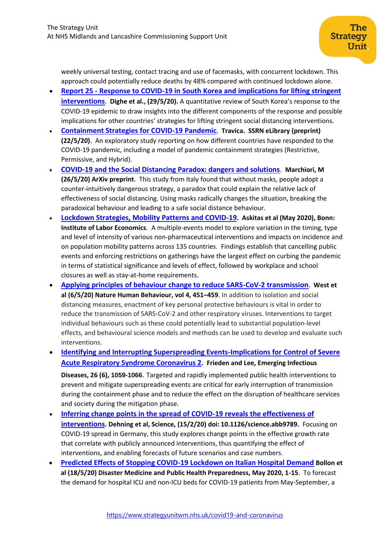weekly universal testing, contact tracing and use of facemasks, with concurrent lockdown. This approach could potentially reduce deaths by 48% compared with continued lockdown alone.

- **Report 25 - [Response to COVID-19 in South Korea and implications for lifting stringent](https://www.imperial.ac.uk/mrc-global-infectious-disease-analysis/covid-19/report-25-south-korea/)  [interventions](https://www.imperial.ac.uk/mrc-global-infectious-disease-analysis/covid-19/report-25-south-korea/)**. **Dighe et al., (29/5/20).** A quantitative review of South Korea's response to the COVID-19 epidemic to draw insights into the different components of the response and possible implications for other countries' strategies for lifting stringent social distancing interventions.
- **[Containment Strategies for COVID-19 Pandemic](https://papers.ssrn.com/sol3/papers.cfm?abstract_id=3604519)**. **Travica. SSRN eLibrary (preprint) (22/5/20)**. An exploratory study reporting on how different countries have responded to the COVID-19 pandemic, including a model of pandemic containment strategies (Restrictive, Permissive, and Hybrid).
- **[COVID-19 and the Social Distancing Paradox: dangers and solutions](https://arxiv.org/pdf/2005.12446.pdf)**. **Marchiori, M (26/5/20) ArXiv preprint**. This study from Italy found that without masks, people adopt a counter-intuitively dangerous strategy, a paradox that could explain the relative lack of effectiveness of social distancing. Using masks radically changes the situation, breaking the paradoxical behaviour and leading to a safe social distance behaviour.
- **[Lockdown Strategies, Mobility Patterns and COVID-19](http://ftp.iza.org/dp13293.pdf). Askitas et al (May 2020), Bonn: Institute of Labor Economics**. A multiple-events model to explore variation in the timing, type and level of intensity of various non-pharmaceutical interventions and impacts on incidence and on population mobility patterns across 135 countries. Findings establish that cancelling public events and enforcing restrictions on gatherings have the largest effect on curbing the pandemic in terms of statistical significance and levels of effect, followed by workplace and school closures as well as stay-at-home requirements.
- **[Applying principles of behaviour change to reduce SARS-CoV-2 transmission](https://www.nature.com/articles/s41562-020-0887-9)**. **West et al (6/5/20) Nature Human Behaviour, vol 4, 451–459**. In addition to isolation and social distancing measures, enactment of key personal protective behaviours is vital in order to reduce the transmission of SARS-CoV-2 and other respiratory viruses. Interventions to target individual behaviours such as these could potentially lead to substantial population-level effects, and behavioural science models and methods can be used to develop and evaluate such interventions.
- **[Identifying and Interrupting Superspreading Events-Implications for Control of Severe](https://wwwnc.cdc.gov/eid/article/26/6/20-0495_article)  [Acute Respiratory Syndrome Coronavirus 2](https://wwwnc.cdc.gov/eid/article/26/6/20-0495_article). Frieden and Lee, Emerging Infectious**

**Diseases, 26 (6), 1059-1066**. Targeted and rapidly implemented public health interventions to prevent and mitigate superspreading events are critical for early interruption of transmission during the containment phase and to reduce the effect on the disruption of healthcare services and society during the mitigation phase.

- **[Inferring change points in the spread of COVID-19 reveals the effectiveness of](https://science.sciencemag.org/content/early/2020/05/14/science.abb9789)  [interventions](https://science.sciencemag.org/content/early/2020/05/14/science.abb9789). Dehning et al, Science, (15/2/20) doi: 10.1126/science.abb9789.** Focusing on COVID-19 spread in Germany, this study explores change points in the effective growth rate that correlate with publicly announced interventions, thus quantifying the effect of interventions, and enabling forecasts of future scenarios and case numbers.
- **[Predicted Effects of Stopping COVID-19 Lockdown on Italian Hospital Demand](https://www.cambridge.org/core/journals/disaster-medicine-and-public-health-preparedness/article/predicted-effects-of-stopping-covid19-lockdown-on-italian-hospital-demand/760FB1159CF65A60C36C401DF2955F02) Bollon et al (18/5/20) Disaster Medicine and Public Health Preparedness, May 2020, 1-15**. To forecast the demand for hospital ICU and non-ICU beds for COVID-19 patients from May-September, a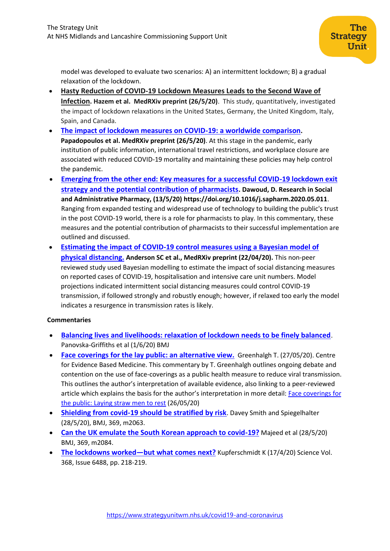model was developed to evaluate two scenarios: A) an intermittent lockdown; B) a gradual relaxation of the lockdown.

- **[Hasty Reduction of COVID-19 Lockdown Measures Leads to the Second Wave of](https://www.medrxiv.org/content/10.1101/2020.05.23.20111526v1)  [Infection](https://www.medrxiv.org/content/10.1101/2020.05.23.20111526v1). Hazem et al. MedRXiv preprint (26/5/20)**. This study, quantitatively, investigated the impact of lockdown relaxations in the United States, Germany, the United Kingdom, Italy, Spain, and Canada.
- **[The impact of lockdown measures on COVID-19: a worldwide comparison](https://www.medrxiv.org/content/10.1101/2020.05.22.20106476v1). Papadopoulos et al. MedRXiv preprint (26/5/20)**. At this stage in the pandemic, early institution of public information, international travel restrictions, and workplace closure are associated with reduced COVID-19 mortality and maintaining these policies may help control the pandemic.
- **[Emerging from the other end: Key measures for a successful COVID-19 lockdown exit](https://www.sciencedirect.com/science/article/pii/S1551741120305313?via%3Dihub)  [strategy and the potential contribution of pharmacists](https://www.sciencedirect.com/science/article/pii/S1551741120305313?via%3Dihub). Dawoud, D. Research in Social and Administrative Pharmacy, (13/5/20[\) https://doi.org/10.1016/j.sapharm.2020.05.011](https://doi.org/10.1016/j.sapharm.2020.05.011)**. Ranging from expanded testing and widespread use of technology to building the public's trust in the post COVID-19 world, there is a role for pharmacists to play. In this commentary, these measures and the potential contribution of pharmacists to their successful implementation are outlined and discussed.
- **[Estimating the impact of COVID-19 control measures using a Bayesian model of](https://www.medrxiv.org/content/10.1101/2020.04.17.20070086v1.full.pdf)  [physical distancing.](https://www.medrxiv.org/content/10.1101/2020.04.17.20070086v1.full.pdf) Anderson SC et al., MedRXiv preprint (22/04/20).** This non-peer reviewed study used Bayesian modelling to estimate the impact of social distancing measures on reported cases of COVID-19, hospitalisation and intensive care unit numbers. Model projections indicated intermittent social distancing measures could control COVID-19 transmission, if followed strongly and robustly enough; however, if relaxed too early the model indicates a resurgence in transmission rates is likely.

# **Commentaries**

- **[Balancing lives and livelihoods: relaxation of lockdown needs to be finely balanced](https://blogs.bmj.com/bmj/2020/06/01/balancing-lives-and-livelihoods-in-post-covid-19-lockdown/)**. Panovska-Griffiths et al (1/6/20) BMJ
- **[Face coverings](https://www.cebm.net/covid-19/face-coverings-for-the-lay-public-an-alternative-view/) for the lay public: an alternative view.** Greenhalgh T. (27/05/20). Centre for Evidence Based Medicine. This commentary by T. Greenhalgh outlines ongoing debate and contention on the use of face-coverings as a public health measure to reduce viral transmission. This outlines the author's interpretation of available evidence, also linking to a peer-reviewed article which explains the basis for the author's interpretation in more detail: Face coverings for [the public: Laying straw men to rest](https://onlinelibrary.wiley.com/doi/10.1111/jep.13415) (26/05/20)
- **[Shielding from covid-19 should be stratified by risk](https://www.bmj.com/content/369/bmj.m2063)**. Davey Smith and Spiegelhalter (28/5/20), BMJ, 369, m2063.
- **[Can the UK emulate the South Korean approach to covid-19?](https://www.bmj.com/content/369/bmj.m2084)** Majeed et al (28/5/20) BMJ, 369, m2084.
- **[The lockdowns worked](https://science.sciencemag.org/content/368/6488/218.long)—but what comes next?** Kupferschmidt K (17/4/20) Science Vol. 368, Issue 6488, pp. 218-219.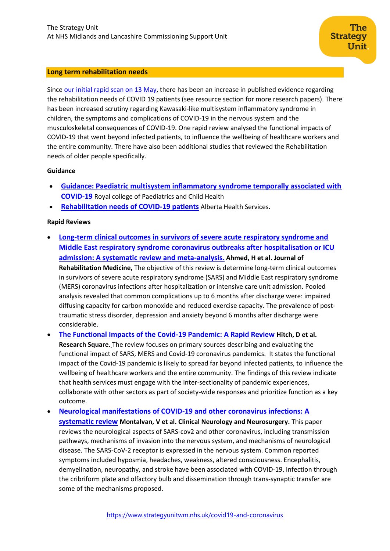#### <span id="page-6-0"></span>**Long term rehabilitation needs**

Since [our initial rapid scan on 13](https://www.strategyunitwm.nhs.uk/sites/default/files/2020-05/20200513%20Evidence%20rapid%20scan%202%20-%20Rehab.pdf) May, there has been an increase in published evidence regarding the rehabilitation needs of COVID 19 patients (see resource section for more research papers). There has been increased scrutiny regarding Kawasaki-like multisystem inflammatory syndrome in children, the symptoms and complications of COVID-19 in the nervous system and the musculoskeletal consequences of COVID-19. One rapid review analysed the functional impacts of COVID-19 that went beyond infected patients, to influence the wellbeing of healthcare workers and the entire community. There have also been additional studies that reviewed the Rehabilitation needs of older people specifically.

#### **Guidance**

- **[Guidance: Paediatric multisystem inflammatory syndrome temporally associated with](https://www.rcpch.ac.uk/sites/default/files/2020-05/COVID-19-Paediatric-multisystem-%20inflammatory%20syndrome-20200501.pdf)  [COVID-19](https://www.rcpch.ac.uk/sites/default/files/2020-05/COVID-19-Paediatric-multisystem-%20inflammatory%20syndrome-20200501.pdf)** Royal college of Paediatrics and Child Health
- **[Rehabilitation needs of COVID-19 patients](https://www.albertahealthservices.ca/assets/info/ppih/if-ppih-covid-19-sag-rehabilitation-needs-rapid-review.pdf)** Alberta Health Services.

#### **Rapid Reviews**

- **[Long-term clinical outcomes in survivors of severe acute respiratory syndrome and](https://europepmc.org/article/med/32449782)  [Middle East respiratory syndrome coronavirus outbreaks after hospitalisation or ICU](https://europepmc.org/article/med/32449782)  [admission: A systematic review and meta-analysis](https://europepmc.org/article/med/32449782). Ahmed, H et al. Journal of Rehabilitation Medicine,** The objective of this review is determine long-term clinical outcomes in survivors of severe acute respiratory syndrome (SARS) and Middle East respiratory syndrome (MERS) coronavirus infections after hospitalization or intensive care unit admission. Pooled analysis revealed that common complications up to 6 months after discharge were: impaired diffusing capacity for carbon monoxide and reduced exercise capacity. The prevalence of posttraumatic stress disorder, depression and anxiety beyond 6 months after discharge were considerable.
- **[The Functional Impacts of the Covid-19 Pandemic: A Rapid Review](https://assets.researchsquare.com/files/rs-31204/v1/f1dc2c03-d3c4-4e77-89c9-38c37f8e930d.pdf) Hitch, D et al. Research Square**. The review focuses on primary sources describing and evaluating the functional impact of SARS, MERS and Covid-19 coronavirus pandemics. It states the functional impact of the Covid-19 pandemic is likely to spread far beyond infected patients, to influence the wellbeing of healthcare workers and the entire community. The findings of this review indicate that health services must engage with the inter-sectionality of pandemic experiences, collaborate with other sectors as part of society-wide responses and prioritize function as a key outcome.
- **[Neurological manifestations of COVID-19 and other coronavirus infections:](https://reader.elsevier.com/reader/sd/pii/S030384672030264X?token=20B180AF89994FAAFA91DC3BE800EB87B12E7D32783FFFF769351330FC4E432EED4B5A0ACCD03E41345A02BBA45A0506) A [systematic review](https://reader.elsevier.com/reader/sd/pii/S030384672030264X?token=20B180AF89994FAAFA91DC3BE800EB87B12E7D32783FFFF769351330FC4E432EED4B5A0ACCD03E41345A02BBA45A0506) Montalvan, V et al. Clinical Neurology and Neurosurgery.** This paper reviews the neurological aspects of SARS-cov2 and other coronavirus, including transmission pathways, mechanisms of invasion into the nervous system, and mechanisms of neurological disease. The SARS-CoV-2 receptor is expressed in the nervous system. Common reported symptoms included hyposmia, headaches, weakness, altered consciousness. Encephalitis, demyelination, neuropathy, and stroke have been associated with COVID-19. Infection through the cribriform plate and olfactory bulb and dissemination through trans-synaptic transfer are some of the mechanisms proposed.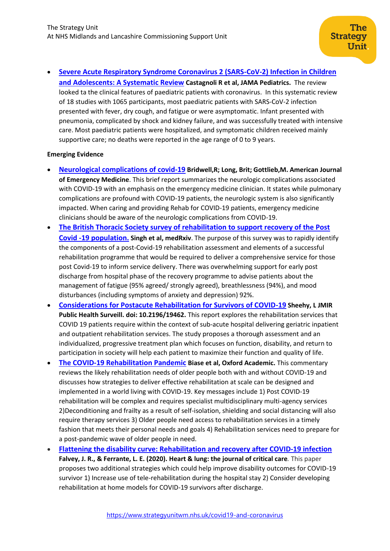• **[Severe Acute Respiratory Syndrome Coronavirus 2 \(SARS-CoV-2\) Infection in Children](https://jamanetwork.com/journals/jamapediatrics/fullarticle/2765169)  [and Adolescents: A Systematic Review](https://jamanetwork.com/journals/jamapediatrics/fullarticle/2765169) Castagnoli R et al, JAMA Pediatrics.** The review looked ta the clinical features of paediatric patients with coronavirus. In this systematic review of 18 studies with 1065 participants, most paediatric patients with SARS-CoV-2 infection presented with fever, dry cough, and fatigue or were asymptomatic. Infant presented with pneumonia, complicated by shock and kidney failure, and was successfully treated with intensive care. Most paediatric patients were hospitalized, and symptomatic children received mainly supportive care; no deaths were reported in the age range of 0 to 9 years.

# **Emerging Evidence**

- **[Neurological complications of covid-19](https://www.ajemjournal.com/article/S0735-6757(20)30364-8/pdf) Bridwell,R; Long, Brit; Gottlieb,M. American Journal of Emergency Medicine**. This brief report summarizes the neurologic complications associated with COVID-19 with an emphasis on the emergency medicine clinician. It states while pulmonary complications are profound with COVID-19 patients, the neurologic system is also significantly impacted. When caring and providing Rehab for COVID-19 patients, emergency medicine clinicians should be aware of the neurologic complications from COVID-19.
- **[The British Thoracic Society survey of rehabilitation to support recovery of the Post](https://www.medrxiv.org/content/10.1101/2020.05.07.20094151v1)  [Covid -19 population.](https://www.medrxiv.org/content/10.1101/2020.05.07.20094151v1) Singh et al, medRxiv**. The purpose of this survey was to rapidly identify the components of a post-Covid-19 rehabilitation assessment and elements of a successful rehabilitation programme that would be required to deliver a comprehensive service for those post Covid-19 to inform service delivery. There was overwhelming support for early post discharge from hospital phase of the recovery programme to advise patients about the management of fatigue (95% agreed/ strongly agreed), breathlessness (94%), and mood disturbances (including symptoms of anxiety and depression) 92%.
- **[Considerations for Postacute Rehabilitation for Survivors of COVID-19](https://pubmed.ncbi.nlm.nih.gov/32369030/) Sheehy, L JMIR Public Health Surveill. doi: 10.2196/19462.** This report explores the rehabilitation services that COVID 19 patients require within the context of sub-acute hospital delivering geriatric inpatient and outpatient rehabilitation services. The study proposes a thorough assessment and an individualized, progressive treatment plan which focuses on function, disability, and return to participation in society will help each patient to maximize their function and quality of life.
- **[The COVID-19 Rehabilitation Pandemic](https://watermark.silverchair.com/afaa118.pdf?token=AQECAHi208BE49Ooan9kkhW_Ercy7Dm3ZL_9Cf3qfKAc485ysgAAApEwggKNBgkqhkiG9w0BBwagggJ-MIICegIBADCCAnMGCSqGSIb3DQEHATAeBglghkgBZQMEAS4wEQQMPsvP0ncxEtfbBSGHAgEQgIICROkzvkPEE_K_p1MwWM8Y6jRdIrIwgQSXUQYwIoZ0g6bei9tl_tcgAueSVSfhSSaooE9MocT2QLIVgw0TRIu3hlc5Y3ZpfZqJRmBhjpyfo8W1jvYcKw1HZXxqCR-miW5_OJYgo3y35-a2XYs9XrEsUmY-dzW2egN8ktv-VAdOOt_Aqlrcza-oOqiRQXnTJsUiWSg40oJfp-2UCr-HLSW343f_bqJHwDwdZIfewL6sARa9stEnv_E5BrM1KTIMJefB-lmRSB-ZOtwo3xvfp7QwSasLRf-8fqMF3AzvZpxldRKYEnN1K8R5MMOo-tdVEwL7Y63RrEISp2Acf1S5c6ktLYwvPWUiQ49aMipmqWAMNQ5E_85rNHg5cUO6sA4ycpz7Wr_LjoLtX71XtT1ON63OOdOOfP2t9xFY3qfKzpdB3hiSwQiCgzhl45LRlsUyVOIO7shQM34kLuRLjWU7BG_z--UydHAxXRqbvIoiUFteLfMwS7XMCeQCFnOIxPxlVPniiJjAVK36iKz7rOuEkV0jkQP6zIH7BXjR6Xl2-QPIUPUsEra7sJc3UwG39Ve36-Xi67bIg2D0RAH4zYBYhjDCqvFkbEreUii8HlBvWgXe-TRkzBmPDJ_FObFiKAhZTwIJz5DsEEe2BtWxz5XsoqGrWCWViq80wnf6vpDYJtqARwv3CUy_82kekEOyhRV15X5lhrFAHk-oJhzE_nCUpbXSjWBs2CpcGHcbPCtkwPgsU-OlXCqEGsY8O4mufQxY_I2F6PbuGMk) Biase et al, Oxford Academic.** This commentary reviews the likely rehabilitation needs of older people both with and without COVID-19 and discusses how strategies to deliver effective rehabilitation at scale can be designed and implemented in a world living with COVID-19. Key messages include 1) Post COVID-19 rehabilitation will be complex and requires specialist multidisciplinary multi-agency services 2)Deconditioning and frailty as a result of self-isolation, shielding and social distancing will also require therapy services 3) Older people need access to rehabilitation services in a timely fashion that meets their personal needs and goals 4) Rehabilitation services need to prepare for a post-pandemic wave of older people in need.
- **[Flattening the disability curve: Rehabilitation and recovery after COVID-19 infection](https://csucloudservices.sharepoint.com/sites/StrategyUnit384-Covid19evidence/Shared%20Documents/Covid19%20evidence/Flattening%20the%20disability%20curve:%20Rehabilitation%20and%20recovery%20after%20COVID-19%20infection) Falvey, J. R., & Ferrante, L. E. (2020). Heart & lung: the journal of critical care***.* This paper proposes two additional strategies which could help improve disability outcomes for COVID-19 survivor 1) Increase use of tele-rehabilitation during the hospital stay 2) Consider developing rehabilitation at home models for COVID-19 survivors after discharge.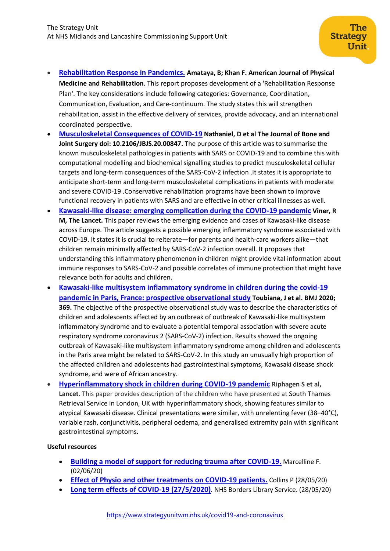- **[Rehabilitation Response in Pandemics.](https://europepmc.org/article/med/32452879) Amataya, B; [Khan](https://europepmc.org/search?query=AUTH:%22Fary%20Khan%22) F. American Journal of Physical Medicine and Rehabilitation**. This report proposes development of a 'Rehabilitation Response Plan'. The key considerations include following categories: Governance, Coordination, Communication, Evaluation, and Care-continuum. The study states this will strengthen rehabilitation, assist in the effective delivery of services, provide advocacy, and an international coordinated perspective.
- **[Musculoskeletal Consequences of COVID-19](https://journals.lww.com/jbjsjournal/Abstract/9000/Musculoskeletal_Consequences_of_COVID_19.99707.aspx) Nathaniel, D et al The Journal of Bone and Joint Surgery doi: 10.2106/JBJS.20.00847.** The purpose of this article was to summarise the known musculoskeletal pathologies in patients with SARS or COVID-19 and to combine this with computational modelling and biochemical signalling studies to predict musculoskeletal cellular targets and long-term consequences of the SARS-CoV-2 infection .It states it is appropriate to anticipate short-term and long-term musculoskeletal complications in patients with moderate and severe COVID-19 .Conservative rehabilitation programs have been shown to improve functional recovery in patients with SARS and are effective in other critical illnesses as well.
- **[Kawasaki-like disease: emerging complication during the COVID-19 pandemic](https://www.thelancet.com/journals/lancet/article/PIIS0140-6736(20)31129-6/fulltext) Viner, R M, The Lancet.** This paper reviews the emerging evidence and cases of Kawasaki-like disease across Europe. The article suggests a possible emerging inflammatory syndrome associated with COVID-19. It states it is crucial to reiterate—for parents and health-care workers alike—that children remain minimally affected by SARS-CoV-2 infection overall. It proposes that understanding this inflammatory phenomenon in children might provide vital information about immune responses to SARS-CoV-2 and possible correlates of immune protection that might have relevance both for adults and children.
- **[Kawasaki-like multisystem inflammatory syndrome in children during the covid-19](https://www.bmj.com/content/369/bmj.m2094)  [pandemic in Paris, France: prospective observational study](https://www.bmj.com/content/369/bmj.m2094) Toubiana, J et al. BMJ 2020; 369.** The objective of the prospective observational study was to describe the characteristics of children and adolescents affected by an outbreak of outbreak of Kawasaki-like multisystem inflammatory syndrome and to evaluate a potential temporal association with severe acute respiratory syndrome coronavirus 2 (SARS-CoV-2) infection. Results showed the ongoing outbreak of Kawasaki-like multisystem inflammatory syndrome among children and adolescents in the Paris area might be related to SARS-CoV-2. In this study an unusually high proportion of the affected children and adolescents had gastrointestinal symptoms, Kawasaki disease shock syndrome, and were of African ancestry.
- **[Hyperinflammatory shock in children during COVID-19 pandemic](https://www.ncbi.nlm.nih.gov/pmc/articles/PMC7204765/) Riphagen S et al, Lancet**. This paper provides description of the children who have presented at South Thames Retrieval Service in London, UK with hyperinflammatory shock, showing features similar to atypical Kawasaki disease. Clinical presentations were similar, with unrelenting fever (38–40°C), variable rash, conjunctivitis, peripheral oedema, and generalised extremity pain with significant gastrointestinal symptoms.

## **Useful resources**

- **[Building a model of support for reducing trauma after COVID-19.](https://www.knowledgeshare.nhs.uk/index.php?PageID=resource_edit&ResourceID=81456)** Marcelline F. (02/06/20)
- **[Effect of Physio and other treatments on COVID-19 patients.](https://www.knowledgeshare.nhs.uk/index.php?PageID=resource_edit&ResourceID=81011)** Collins P (28/05/20)
- **[Long term effects of COVID-19 \(27/5/2020\)](https://covid19ks.zendesk.com/hc/en-gb/articles/360009319558-2020-05-27-Long-term-effects-of-COVID-19)**. NHS Borders Library Service. (28/05/20)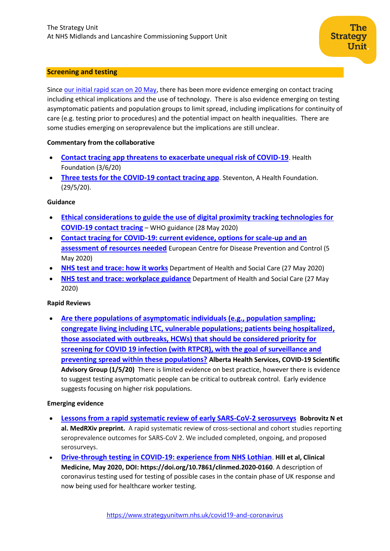## <span id="page-9-0"></span>**Screening and testing**

Since [our initial rapid scan on 20 May,](https://www.strategyunitwm.nhs.uk/sites/default/files/2020-05/20200521%20Evidence%20rapid%20scan%204%20-%20screening%20and%20testing%20strategies.pdf) there has been more evidence emerging on contact tracing including ethical implications and the use of technology. There is also evidence emerging on testing asymptomatic patients and population groups to limit spread, including implications for continuity of care (e.g. testing prior to procedures) and the potential impact on health inequalities. There are some studies emerging on seroprevalence but the implications are still unclear.

#### **Commentary from the collaborative**

- **[Contact tracing app threatens to exacerbate unequal risk of COVID-19](https://www.health.org.uk/news-and-comment/news/contact-tracing-app-threatens-to-exacerbate-unequal-risk-of-covid-19)**. Health Foundation (3/6/20)
- **[Three tests for the COVID-19 contact tracing app](https://www.health.org.uk/news-and-comment/blogs/three-tests-for-the-covid-19-contact-tracing-app)**. Steventon, A Health Foundation. (29/5/20).

#### **Guidance**

- **[Ethical considerations to guide the use of digital proximity tracking technologies for](https://www.who.int/publications-detail/WHO-2019-nCoV-Ethics_Contact_tracing_apps-2020.1)  [COVID-19 contact tracing](https://www.who.int/publications-detail/WHO-2019-nCoV-Ethics_Contact_tracing_apps-2020.1)** – WHO guidance (28 May 2020)
- **[Contact tracing for COVID-19: current evidence, options for scale-up and an](https://www.ecdc.europa.eu/en/publications-data/contact-tracing-covid-19-evidence-scale-up-assessment-resources)  [assessment of resources needed](https://www.ecdc.europa.eu/en/publications-data/contact-tracing-covid-19-evidence-scale-up-assessment-resources)** European Centre for Disease Prevention and Control (5 May 2020)
- **[NHS test and trace: how it works](https://www.gov.uk/guidance/nhs-test-and-trace-how-it-works)** Department of Health and Social Care (27 May 2020)
- **[NHS test and trace: workplace guidance](https://www.gov.uk/guidance/nhs-test-and-trace-workplace-guidance)** Department of Health and Social Care (27 May 2020)

#### **Rapid Reviews**

• **[Are there populations of asymptomatic individuals \(e.g., population sampling;](https://www.albertahealthservices.ca/assets/info/ppih/if-ppih-covid-19-sag-priority-groups-for-asymptomatic-testing-rapid-review.pdf)  [congregate living including LTC, vulnerable populations; patients being hospitalized,](https://www.albertahealthservices.ca/assets/info/ppih/if-ppih-covid-19-sag-priority-groups-for-asymptomatic-testing-rapid-review.pdf)  [those associated with outbreaks, HCWs\) that should be considered priority for](https://www.albertahealthservices.ca/assets/info/ppih/if-ppih-covid-19-sag-priority-groups-for-asymptomatic-testing-rapid-review.pdf)  [screening for COVID 19 infection \(with RTPCR\), with the goal of surveillance and](https://www.albertahealthservices.ca/assets/info/ppih/if-ppih-covid-19-sag-priority-groups-for-asymptomatic-testing-rapid-review.pdf)  [preventing spread within these populations?](https://www.albertahealthservices.ca/assets/info/ppih/if-ppih-covid-19-sag-priority-groups-for-asymptomatic-testing-rapid-review.pdf) Alberta Health Services, COVID-19 Scientific Advisory Group (1/5/20)** There is limited evidence on best practice, however there is evidence to suggest testing asymptomatic people can be critical to outbreak control. Early evidence suggests focusing on higher risk populations.

#### **Emerging evidence**

- **[Lessons from a rapid systematic review of early SARS-CoV-2 serosurveys](https://www.medrxiv.org/content/10.1101/2020.05.10.20097451v1) Bobrovitz N et al. MedRXiv preprint.** A rapid systematic review of cross-sectional and cohort studies reporting seroprevalence outcomes for SARS-CoV 2. We included completed, ongoing, and proposed serosurveys.
- **[Drive-through testing in COVID-19: experience from NHS Lothian](https://www.rcpjournals.org/content/clinmedicine/20/3/290)**. **Hill et al, Clinical Medicine, May 2020, DOI: https://doi.org/10.7861/clinmed.2020-0160**. A description of coronavirus testing used for testing of possible cases in the contain phase of UK response and now being used for healthcare worker testing.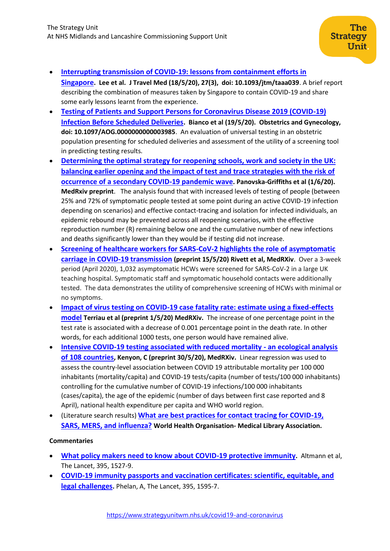- **[Interrupting transmission of COVID-19: lessons from containment efforts in](https://pubmed.ncbi.nlm.nih.gov/32167146/)  [Singapore](https://pubmed.ncbi.nlm.nih.gov/32167146/). Lee et al. J Travel Med (18/5/20), 27(3), doi: 10.1093/jtm/taaa039**. A brief report describing the combination of measures taken by Singapore to contain COVID-19 and share some early lessons learnt from the experience.
- **[Testing of Patients and Support Persons for Coronavirus Disease 2019 \(COVID-19\)](https://journals.lww.com/greenjournal/Abstract/9000/Testing_of_Patients_and_Support_Persons_for.97342.aspx)  [Infection Before Scheduled Deliveries](https://journals.lww.com/greenjournal/Abstract/9000/Testing_of_Patients_and_Support_Persons_for.97342.aspx). Bianco et al (19/5/20). Obstetrics and Gynecology, doi: 10.1097/AOG.0000000000003985**. An evaluation of universal testing in an obstetric population presenting for scheduled deliveries and assessment of the utility of a screening tool in predicting testing results.
- **[Determining the optimal strategy for reopening schools, work](https://www.medrxiv.org/content/10.1101/2020.06.01.20100461v1.full.pdf) and society in the UK: [balancing earlier opening and the impact of test and trace strategies with the risk of](https://www.medrxiv.org/content/10.1101/2020.06.01.20100461v1.full.pdf)  [occurrence of a secondary COVID-19 pandemic wave](https://www.medrxiv.org/content/10.1101/2020.06.01.20100461v1.full.pdf). Panovska-Griffiths et al (1/6/20). MedRxiv preprint**. The analysis found that with increased levels of testing of people (between 25% and 72% of symptomatic people tested at some point during an active COVID-19 infection depending on scenarios) and effective contact-tracing and isolation for infected individuals, an epidemic rebound may be prevented across all reopening scenarios, with the effective reproduction number (R) remaining below one and the cumulative number of new infections and deaths significantly lower than they would be if testing did not increase.
- **[Screening of healthcare workers for SARS-CoV-2 highlights the role of asymptomatic](https://www.medrxiv.org/content/10.1101/2020.05.09.20082909v1)  [carriage in COVID-19 transmission](https://www.medrxiv.org/content/10.1101/2020.05.09.20082909v1) (preprint 15/5/20) Rivett et al, MedRXiv**. Over a 3-week period (April 2020), 1,032 asymptomatic HCWs were screened for SARS-CoV-2 in a large UK teaching hospital. Symptomatic staff and symptomatic household contacts were additionally tested. The data demonstrates the utility of comprehensive screening of HCWs with minimal or no symptoms.
- **[Impact of virus testing on COVID-19 case fatality rate: estimate using a fixed-effects](https://www.medrxiv.org/content/10.1101/2020.04.26.20080531v1.full.pdf)  [model](https://www.medrxiv.org/content/10.1101/2020.04.26.20080531v1.full.pdf) Terriau et al (preprint 1/5/20) MedRXiv.** The increase of one percentage point in the test rate is associated with a decrease of 0.001 percentage point in the death rate. In other words, for each additional 1000 tests, one person would have remained alive.
- **[Intensive COVID-19 testing associated with reduced mortality -](https://www.medrxiv.org/content/10.1101/2020.05.28.20115691v1) an ecological analysis [of 108 countries](https://www.medrxiv.org/content/10.1101/2020.05.28.20115691v1), Kenyon, C (preprint 30/5/20), MedRXiv.** Linear regression was used to assess the country-level association between COVID 19 attributable mortality per 100 000 inhabitants (mortality/capita) and COVID-19 tests/capita (number of tests/100 000 inhabitants) controlling for the cumulative number of COVID-19 infections/100 000 inhabitants (cases/capita), the age of the epidemic (number of days between first case reported and 8 April), national health expenditure per capita and WHO world region.
- (Literature search results) **[What are best practices for contact tracing for COVID-19,](https://extranet.who.int/goarn/node/139763)  [SARS, MERS, and influenza?](https://extranet.who.int/goarn/node/139763) World Health Organisation- Medical Library Association.**

# **Commentaries**

- **[What policy makers need to know about COVID-19 protective immunity](https://www.thelancet.com/pdfs/journals/lancet/PIIS0140-6736(20)30985-5.pdf).** Altmann et al, The Lancet, 395, 1527-9.
- **[COVID-19 immunity passports and vaccination certificates: scientific, equitable, and](https://www.thelancet.com/pdfs/journals/lancet/PIIS0140-6736(20)31034-5.pdf)  [legal challenges](https://www.thelancet.com/pdfs/journals/lancet/PIIS0140-6736(20)31034-5.pdf).** Phelan, A, The Lancet, 395, 1595-7.